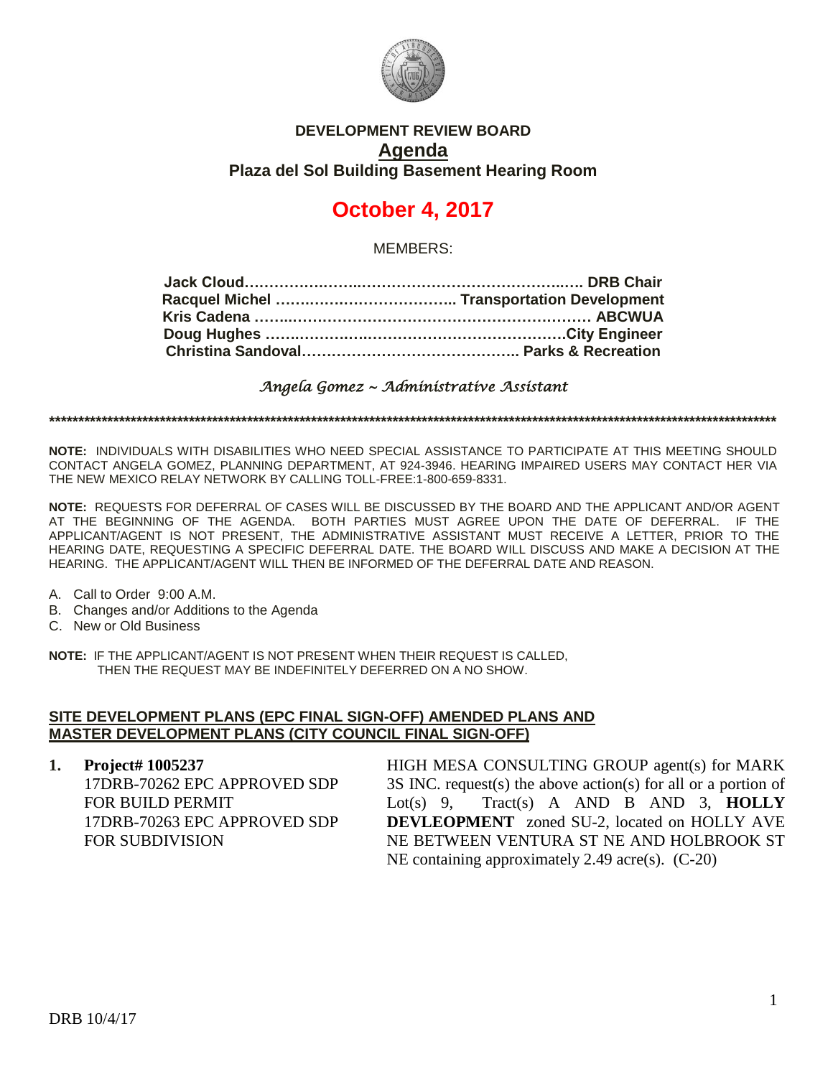

# **DEVELOPMENT REVIEW BOARD Agenda Plaza del Sol Building Basement Hearing Room**

# **October 4, 2017**

MEMBERS:

*Angela Gomez ~ Administrative Assistant* 

**\*\*\*\*\*\*\*\*\*\*\*\*\*\*\*\*\*\*\*\*\*\*\*\*\*\*\*\*\*\*\*\*\*\*\*\*\*\*\*\*\*\*\*\*\*\*\*\*\*\*\*\*\*\*\*\*\*\*\*\*\*\*\*\*\*\*\*\*\*\*\*\*\*\*\*\*\*\*\*\*\*\*\*\*\*\*\*\*\*\*\*\*\*\*\*\*\*\*\*\*\*\*\*\*\*\*\*\*\*\*\*\*\*\*\*\*\*\*\*\*\*\*\*\*\***

**NOTE:** INDIVIDUALS WITH DISABILITIES WHO NEED SPECIAL ASSISTANCE TO PARTICIPATE AT THIS MEETING SHOULD CONTACT ANGELA GOMEZ, PLANNING DEPARTMENT, AT 924-3946. HEARING IMPAIRED USERS MAY CONTACT HER VIA THE NEW MEXICO RELAY NETWORK BY CALLING TOLL-FREE:1-800-659-8331.

**NOTE:** REQUESTS FOR DEFERRAL OF CASES WILL BE DISCUSSED BY THE BOARD AND THE APPLICANT AND/OR AGENT AT THE BEGINNING OF THE AGENDA. BOTH PARTIES MUST AGREE UPON THE DATE OF DEFERRAL. IF THE APPLICANT/AGENT IS NOT PRESENT, THE ADMINISTRATIVE ASSISTANT MUST RECEIVE A LETTER, PRIOR TO THE HEARING DATE, REQUESTING A SPECIFIC DEFERRAL DATE. THE BOARD WILL DISCUSS AND MAKE A DECISION AT THE HEARING. THE APPLICANT/AGENT WILL THEN BE INFORMED OF THE DEFERRAL DATE AND REASON.

- A. Call to Order 9:00 A.M.
- B. Changes and/or Additions to the Agenda
- C. New or Old Business

**NOTE:** IF THE APPLICANT/AGENT IS NOT PRESENT WHEN THEIR REQUEST IS CALLED, THEN THE REQUEST MAY BE INDEFINITELY DEFERRED ON A NO SHOW.

### **SITE DEVELOPMENT PLANS (EPC FINAL SIGN-OFF) AMENDED PLANS AND MASTER DEVELOPMENT PLANS (CITY COUNCIL FINAL SIGN-OFF)**

**1. Project# 1005237** 17DRB-70262 EPC APPROVED SDP FOR BUILD PERMIT 17DRB-70263 EPC APPROVED SDP FOR SUBDIVISION

HIGH MESA CONSULTING GROUP agent(s) for MARK 3S INC. request(s) the above action(s) for all or a portion of Lot(s) 9, Tract(s) A AND B AND 3, **HOLLY DEVLEOPMENT** zoned SU-2, located on HOLLY AVE NE BETWEEN VENTURA ST NE AND HOLBROOK ST NE containing approximately 2.49 acre(s). (C-20)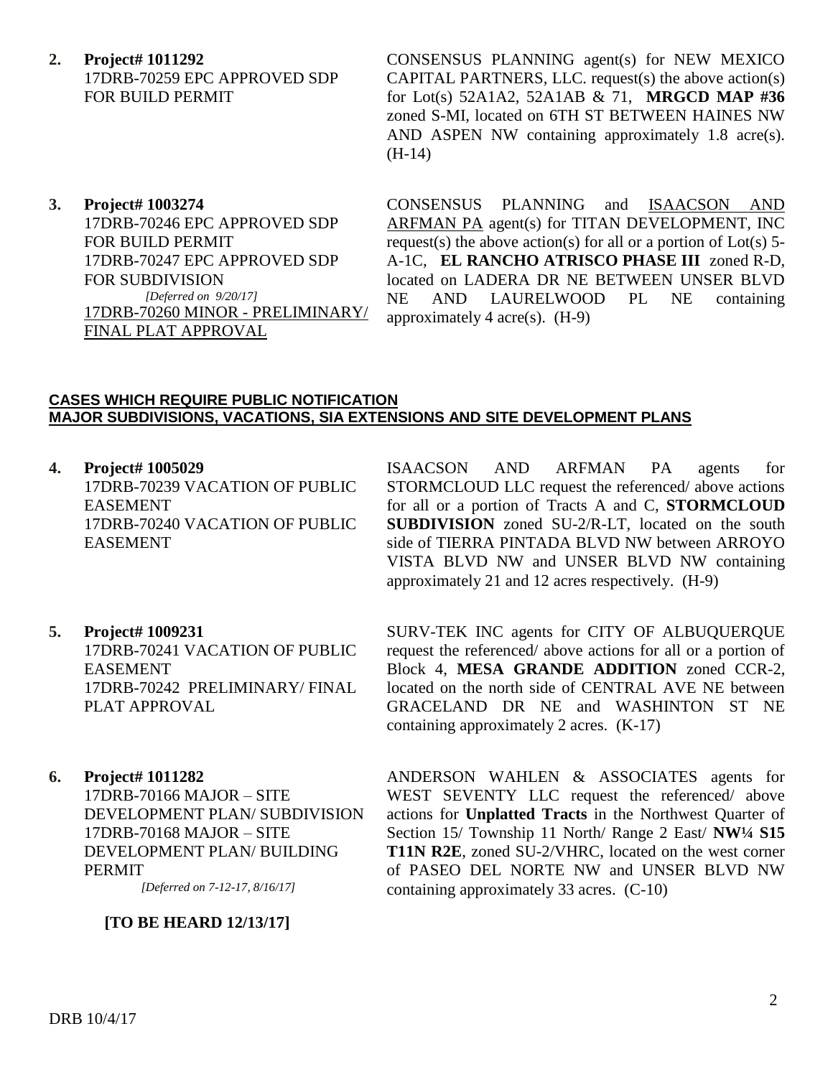- **2. Project# 1011292** 17DRB-70259 EPC APPROVED SDP FOR BUILD PERMIT
- **3. Project# 1003274** 17DRB-70246 EPC APPROVED SDP FOR BUILD PERMIT 17DRB-70247 EPC APPROVED SDP FOR SUBDIVISION *[Deferred on 9/20/17]* 17DRB-70260 MINOR - PRELIMINARY/ FINAL PLAT APPROVAL

CONSENSUS PLANNING agent(s) for NEW MEXICO CAPITAL PARTNERS, LLC. request(s) the above action(s) for Lot(s) 52A1A2, 52A1AB & 71, **MRGCD MAP #36** zoned S-MI, located on 6TH ST BETWEEN HAINES NW AND ASPEN NW containing approximately 1.8 acre(s). (H-14)

CONSENSUS PLANNING and ISAACSON AND ARFMAN PA agent(s) for TITAN DEVELOPMENT, INC request(s) the above action(s) for all or a portion of  $Lot(s)$  5-A-1C, **EL RANCHO ATRISCO PHASE III** zoned R-D, located on LADERA DR NE BETWEEN UNSER BLVD NE AND LAURELWOOD PL NE containing approximately 4 acre(s).  $(H-9)$ 

#### **CASES WHICH REQUIRE PUBLIC NOTIFICATION MAJOR SUBDIVISIONS, VACATIONS, SIA EXTENSIONS AND SITE DEVELOPMENT PLANS**

**4. Project# 1005029**

17DRB-70239 VACATION OF PUBLIC EASEMENT 17DRB-70240 VACATION OF PUBLIC EASEMENT

ISAACSON AND ARFMAN PA agents for STORMCLOUD LLC request the referenced/ above actions for all or a portion of Tracts A and C, **STORMCLOUD SUBDIVISION** zoned SU-2/R-LT, located on the south side of TIERRA PINTADA BLVD NW between ARROYO VISTA BLVD NW and UNSER BLVD NW containing approximately 21 and 12 acres respectively. (H-9)

- **5. Project# 1009231** 17DRB-70241 VACATION OF PUBLIC EASEMENT 17DRB-70242 PRELIMINARY/ FINAL PLAT APPROVAL
- **6. Project# 1011282**

17DRB-70166 MAJOR – SITE DEVELOPMENT PLAN/ SUBDIVISION 17DRB-70168 MAJOR – SITE DEVELOPMENT PLAN/ BUILDING PERMIT

*[Deferred on 7-12-17, 8/16/17]*

## **[TO BE HEARD 12/13/17]**

SURV-TEK INC agents for CITY OF ALBUQUERQUE request the referenced/ above actions for all or a portion of Block 4, **MESA GRANDE ADDITION** zoned CCR-2, located on the north side of CENTRAL AVE NE between GRACELAND DR NE and WASHINTON ST NE containing approximately 2 acres. (K-17)

ANDERSON WAHLEN & ASSOCIATES agents for WEST SEVENTY LLC request the referenced/ above actions for **Unplatted Tracts** in the Northwest Quarter of Section 15/ Township 11 North/ Range 2 East/ **NW¼ S15 T11N R2E**, zoned SU-2/VHRC, located on the west corner of PASEO DEL NORTE NW and UNSER BLVD NW containing approximately 33 acres. (C-10)